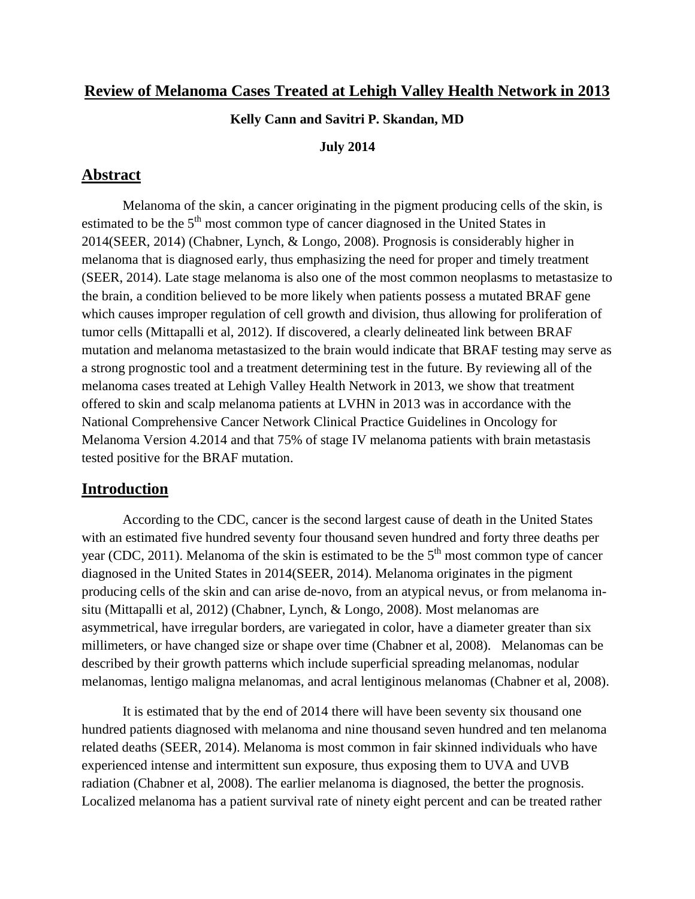### **Review of Melanoma Cases Treated at Lehigh Valley Health Network in 2013**

#### **Kelly Cann and Savitri P. Skandan, MD**

#### **July 2014**

### **Abstract**

Melanoma of the skin, a cancer originating in the pigment producing cells of the skin, is estimated to be the  $5<sup>th</sup>$  most common type of cancer diagnosed in the United States in 2014(SEER, 2014) (Chabner, Lynch, & Longo, 2008). Prognosis is considerably higher in melanoma that is diagnosed early, thus emphasizing the need for proper and timely treatment (SEER, 2014). Late stage melanoma is also one of the most common neoplasms to metastasize to the brain, a condition believed to be more likely when patients possess a mutated BRAF gene which causes improper regulation of cell growth and division, thus allowing for proliferation of tumor cells (Mittapalli et al, 2012). If discovered, a clearly delineated link between BRAF mutation and melanoma metastasized to the brain would indicate that BRAF testing may serve as a strong prognostic tool and a treatment determining test in the future. By reviewing all of the melanoma cases treated at Lehigh Valley Health Network in 2013, we show that treatment offered to skin and scalp melanoma patients at LVHN in 2013 was in accordance with the National Comprehensive Cancer Network Clinical Practice Guidelines in Oncology for Melanoma Version 4.2014 and that 75% of stage IV melanoma patients with brain metastasis tested positive for the BRAF mutation.

### **Introduction**

According to the CDC, cancer is the second largest cause of death in the United States with an estimated five hundred seventy four thousand seven hundred and forty three deaths per year (CDC, 2011). Melanoma of the skin is estimated to be the  $5<sup>th</sup>$  most common type of cancer diagnosed in the United States in 2014(SEER, 2014). Melanoma originates in the pigment producing cells of the skin and can arise de-novo, from an atypical nevus, or from melanoma insitu (Mittapalli et al, 2012) (Chabner, Lynch, & Longo, 2008). Most melanomas are asymmetrical, have irregular borders, are variegated in color, have a diameter greater than six millimeters, or have changed size or shape over time (Chabner et al, 2008). Melanomas can be described by their growth patterns which include superficial spreading melanomas, nodular melanomas, lentigo maligna melanomas, and acral lentiginous melanomas (Chabner et al, 2008).

It is estimated that by the end of 2014 there will have been seventy six thousand one hundred patients diagnosed with melanoma and nine thousand seven hundred and ten melanoma related deaths (SEER, 2014). Melanoma is most common in fair skinned individuals who have experienced intense and intermittent sun exposure, thus exposing them to UVA and UVB radiation (Chabner et al, 2008). The earlier melanoma is diagnosed, the better the prognosis. Localized melanoma has a patient survival rate of ninety eight percent and can be treated rather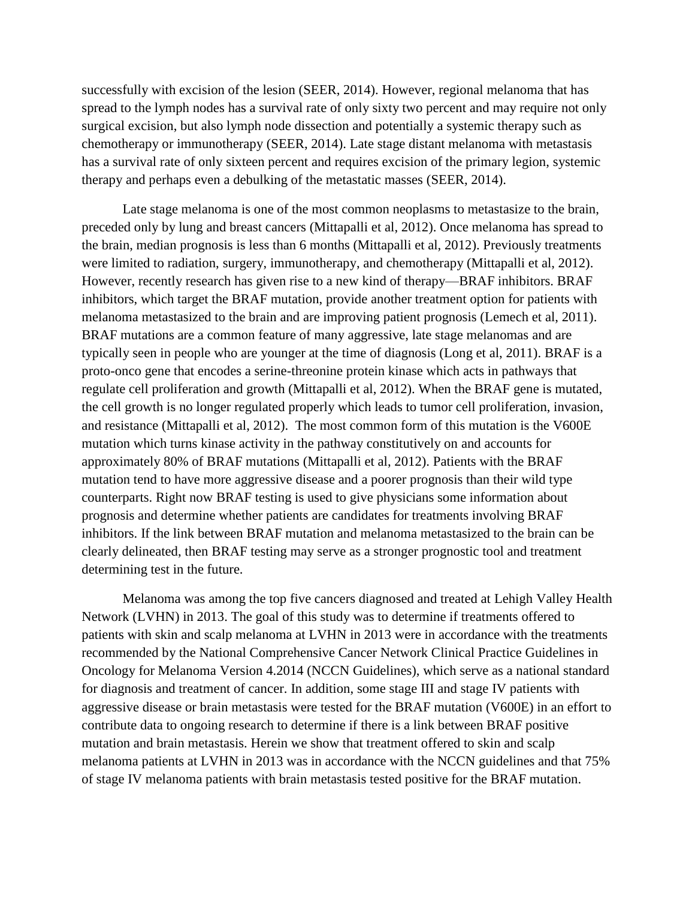successfully with excision of the lesion (SEER, 2014). However, regional melanoma that has spread to the lymph nodes has a survival rate of only sixty two percent and may require not only surgical excision, but also lymph node dissection and potentially a systemic therapy such as chemotherapy or immunotherapy (SEER, 2014). Late stage distant melanoma with metastasis has a survival rate of only sixteen percent and requires excision of the primary legion, systemic therapy and perhaps even a debulking of the metastatic masses (SEER, 2014).

Late stage melanoma is one of the most common neoplasms to metastasize to the brain, preceded only by lung and breast cancers (Mittapalli et al, 2012). Once melanoma has spread to the brain, median prognosis is less than 6 months (Mittapalli et al, 2012). Previously treatments were limited to radiation, surgery, immunotherapy, and chemotherapy (Mittapalli et al, 2012). However, recently research has given rise to a new kind of therapy—BRAF inhibitors. BRAF inhibitors, which target the BRAF mutation, provide another treatment option for patients with melanoma metastasized to the brain and are improving patient prognosis (Lemech et al, 2011). BRAF mutations are a common feature of many aggressive, late stage melanomas and are typically seen in people who are younger at the time of diagnosis (Long et al, 2011). BRAF is a proto-onco gene that encodes a serine-threonine protein kinase which acts in pathways that regulate cell proliferation and growth (Mittapalli et al, 2012). When the BRAF gene is mutated, the cell growth is no longer regulated properly which leads to tumor cell proliferation, invasion, and resistance (Mittapalli et al, 2012). The most common form of this mutation is the V600E mutation which turns kinase activity in the pathway constitutively on and accounts for approximately 80% of BRAF mutations (Mittapalli et al, 2012). Patients with the BRAF mutation tend to have more aggressive disease and a poorer prognosis than their wild type counterparts. Right now BRAF testing is used to give physicians some information about prognosis and determine whether patients are candidates for treatments involving BRAF inhibitors. If the link between BRAF mutation and melanoma metastasized to the brain can be clearly delineated, then BRAF testing may serve as a stronger prognostic tool and treatment determining test in the future.

Melanoma was among the top five cancers diagnosed and treated at Lehigh Valley Health Network (LVHN) in 2013. The goal of this study was to determine if treatments offered to patients with skin and scalp melanoma at LVHN in 2013 were in accordance with the treatments recommended by the National Comprehensive Cancer Network Clinical Practice Guidelines in Oncology for Melanoma Version 4.2014 (NCCN Guidelines), which serve as a national standard for diagnosis and treatment of cancer. In addition, some stage III and stage IV patients with aggressive disease or brain metastasis were tested for the BRAF mutation (V600E) in an effort to contribute data to ongoing research to determine if there is a link between BRAF positive mutation and brain metastasis. Herein we show that treatment offered to skin and scalp melanoma patients at LVHN in 2013 was in accordance with the NCCN guidelines and that 75% of stage IV melanoma patients with brain metastasis tested positive for the BRAF mutation.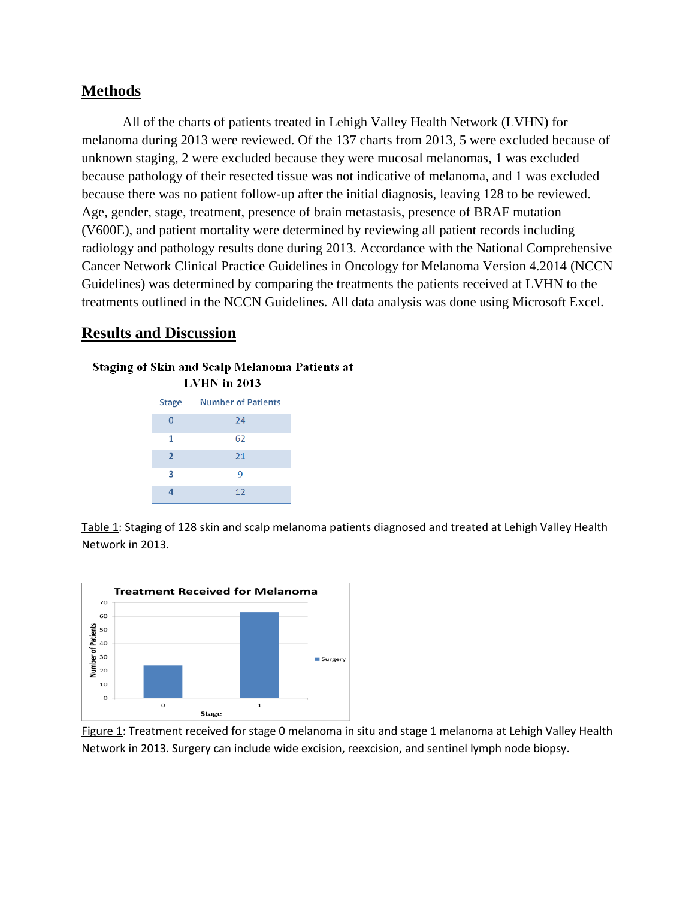### **Methods**

All of the charts of patients treated in Lehigh Valley Health Network (LVHN) for melanoma during 2013 were reviewed. Of the 137 charts from 2013, 5 were excluded because of unknown staging, 2 were excluded because they were mucosal melanomas, 1 was excluded because pathology of their resected tissue was not indicative of melanoma, and 1 was excluded because there was no patient follow-up after the initial diagnosis, leaving 128 to be reviewed. Age, gender, stage, treatment, presence of brain metastasis, presence of BRAF mutation (V600E), and patient mortality were determined by reviewing all patient records including radiology and pathology results done during 2013. Accordance with the National Comprehensive Cancer Network Clinical Practice Guidelines in Oncology for Melanoma Version 4.2014 (NCCN Guidelines) was determined by comparing the treatments the patients received at LVHN to the treatments outlined in the NCCN Guidelines. All data analysis was done using Microsoft Excel.

### **Results and Discussion**

# Staging of Skin and Scalp Melanoma Patients at

| LVHN in 2013   |                           |
|----------------|---------------------------|
| <b>Stage</b>   | <b>Number of Patients</b> |
| U              | 74                        |
| 1              | 62                        |
| $\overline{2}$ | 21                        |
| 3              | 9                         |
|                | 12                        |

Table 1: Staging of 128 skin and scalp melanoma patients diagnosed and treated at Lehigh Valley Health Network in 2013.



Figure 1: Treatment received for stage 0 melanoma in situ and stage 1 melanoma at Lehigh Valley Health Network in 2013. Surgery can include wide excision, reexcision, and sentinel lymph node biopsy.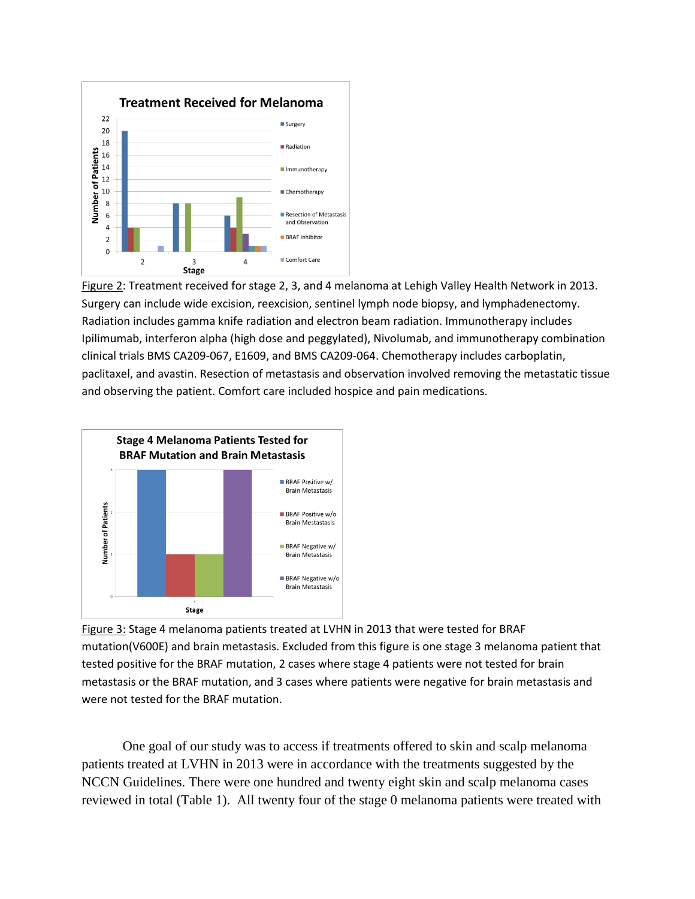

Figure 2: Treatment received for stage 2, 3, and 4 melanoma at Lehigh Valley Health Network in 2013. Surgery can include wide excision, reexcision, sentinel lymph node biopsy, and lymphadenectomy. Radiation includes gamma knife radiation and electron beam radiation. Immunotherapy includes Ipilimumab, interferon alpha (high dose and peggylated), Nivolumab, and immunotherapy combination clinical trials BMS CA209-067, E1609, and BMS CA209-064. Chemotherapy includes carboplatin, paclitaxel, and avastin. Resection of metastasis and observation involved removing the metastatic tissue and observing the patient. Comfort care included hospice and pain medications.



Figure 3: Stage 4 melanoma patients treated at LVHN in 2013 that were tested for BRAF mutation(V600E) and brain metastasis. Excluded from this figure is one stage 3 melanoma patient that tested positive for the BRAF mutation, 2 cases where stage 4 patients were not tested for brain metastasis or the BRAF mutation, and 3 cases where patients were negative for brain metastasis and were not tested for the BRAF mutation.

One goal of our study was to access if treatments offered to skin and scalp melanoma patients treated at LVHN in 2013 were in accordance with the treatments suggested by the NCCN Guidelines. There were one hundred and twenty eight skin and scalp melanoma cases reviewed in total (Table 1). All twenty four of the stage 0 melanoma patients were treated with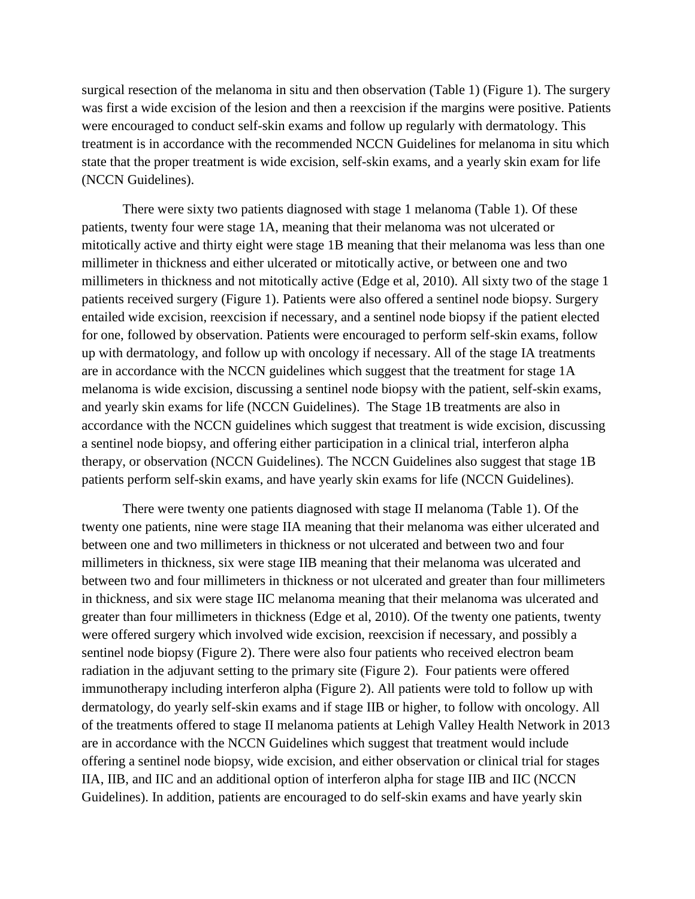surgical resection of the melanoma in situ and then observation (Table 1) (Figure 1). The surgery was first a wide excision of the lesion and then a reexcision if the margins were positive. Patients were encouraged to conduct self-skin exams and follow up regularly with dermatology. This treatment is in accordance with the recommended NCCN Guidelines for melanoma in situ which state that the proper treatment is wide excision, self-skin exams, and a yearly skin exam for life (NCCN Guidelines).

There were sixty two patients diagnosed with stage 1 melanoma (Table 1). Of these patients, twenty four were stage 1A, meaning that their melanoma was not ulcerated or mitotically active and thirty eight were stage 1B meaning that their melanoma was less than one millimeter in thickness and either ulcerated or mitotically active, or between one and two millimeters in thickness and not mitotically active (Edge et al, 2010). All sixty two of the stage 1 patients received surgery (Figure 1). Patients were also offered a sentinel node biopsy. Surgery entailed wide excision, reexcision if necessary, and a sentinel node biopsy if the patient elected for one, followed by observation. Patients were encouraged to perform self-skin exams, follow up with dermatology, and follow up with oncology if necessary. All of the stage IA treatments are in accordance with the NCCN guidelines which suggest that the treatment for stage 1A melanoma is wide excision, discussing a sentinel node biopsy with the patient, self-skin exams, and yearly skin exams for life (NCCN Guidelines). The Stage 1B treatments are also in accordance with the NCCN guidelines which suggest that treatment is wide excision, discussing a sentinel node biopsy, and offering either participation in a clinical trial, interferon alpha therapy, or observation (NCCN Guidelines). The NCCN Guidelines also suggest that stage 1B patients perform self-skin exams, and have yearly skin exams for life (NCCN Guidelines).

There were twenty one patients diagnosed with stage II melanoma (Table 1). Of the twenty one patients, nine were stage IIA meaning that their melanoma was either ulcerated and between one and two millimeters in thickness or not ulcerated and between two and four millimeters in thickness, six were stage IIB meaning that their melanoma was ulcerated and between two and four millimeters in thickness or not ulcerated and greater than four millimeters in thickness, and six were stage IIC melanoma meaning that their melanoma was ulcerated and greater than four millimeters in thickness (Edge et al, 2010). Of the twenty one patients, twenty were offered surgery which involved wide excision, reexcision if necessary, and possibly a sentinel node biopsy (Figure 2). There were also four patients who received electron beam radiation in the adjuvant setting to the primary site (Figure 2). Four patients were offered immunotherapy including interferon alpha (Figure 2). All patients were told to follow up with dermatology, do yearly self-skin exams and if stage IIB or higher, to follow with oncology. All of the treatments offered to stage II melanoma patients at Lehigh Valley Health Network in 2013 are in accordance with the NCCN Guidelines which suggest that treatment would include offering a sentinel node biopsy, wide excision, and either observation or clinical trial for stages IIA, IIB, and IIC and an additional option of interferon alpha for stage IIB and IIC (NCCN Guidelines). In addition, patients are encouraged to do self-skin exams and have yearly skin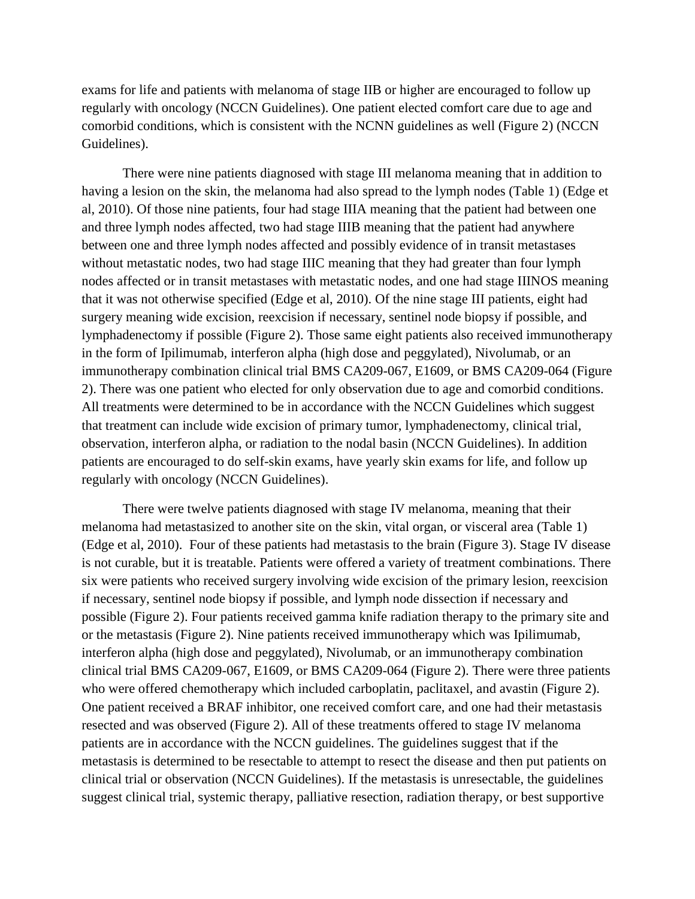exams for life and patients with melanoma of stage IIB or higher are encouraged to follow up regularly with oncology (NCCN Guidelines). One patient elected comfort care due to age and comorbid conditions, which is consistent with the NCNN guidelines as well (Figure 2) (NCCN Guidelines).

There were nine patients diagnosed with stage III melanoma meaning that in addition to having a lesion on the skin, the melanoma had also spread to the lymph nodes (Table 1) (Edge et al, 2010). Of those nine patients, four had stage IIIA meaning that the patient had between one and three lymph nodes affected, two had stage IIIB meaning that the patient had anywhere between one and three lymph nodes affected and possibly evidence of in transit metastases without metastatic nodes, two had stage IIIC meaning that they had greater than four lymph nodes affected or in transit metastases with metastatic nodes, and one had stage IIINOS meaning that it was not otherwise specified (Edge et al, 2010). Of the nine stage III patients, eight had surgery meaning wide excision, reexcision if necessary, sentinel node biopsy if possible, and lymphadenectomy if possible (Figure 2). Those same eight patients also received immunotherapy in the form of Ipilimumab, interferon alpha (high dose and peggylated), Nivolumab, or an immunotherapy combination clinical trial BMS CA209-067, E1609, or BMS CA209-064 (Figure 2). There was one patient who elected for only observation due to age and comorbid conditions. All treatments were determined to be in accordance with the NCCN Guidelines which suggest that treatment can include wide excision of primary tumor, lymphadenectomy, clinical trial, observation, interferon alpha, or radiation to the nodal basin (NCCN Guidelines). In addition patients are encouraged to do self-skin exams, have yearly skin exams for life, and follow up regularly with oncology (NCCN Guidelines).

There were twelve patients diagnosed with stage IV melanoma, meaning that their melanoma had metastasized to another site on the skin, vital organ, or visceral area (Table 1) (Edge et al, 2010). Four of these patients had metastasis to the brain (Figure 3). Stage IV disease is not curable, but it is treatable. Patients were offered a variety of treatment combinations. There six were patients who received surgery involving wide excision of the primary lesion, reexcision if necessary, sentinel node biopsy if possible, and lymph node dissection if necessary and possible (Figure 2). Four patients received gamma knife radiation therapy to the primary site and or the metastasis (Figure 2). Nine patients received immunotherapy which was Ipilimumab, interferon alpha (high dose and peggylated), Nivolumab, or an immunotherapy combination clinical trial BMS CA209-067, E1609, or BMS CA209-064 (Figure 2). There were three patients who were offered chemotherapy which included carboplatin, paclitaxel, and avastin (Figure 2). One patient received a BRAF inhibitor, one received comfort care, and one had their metastasis resected and was observed (Figure 2). All of these treatments offered to stage IV melanoma patients are in accordance with the NCCN guidelines. The guidelines suggest that if the metastasis is determined to be resectable to attempt to resect the disease and then put patients on clinical trial or observation (NCCN Guidelines). If the metastasis is unresectable, the guidelines suggest clinical trial, systemic therapy, palliative resection, radiation therapy, or best supportive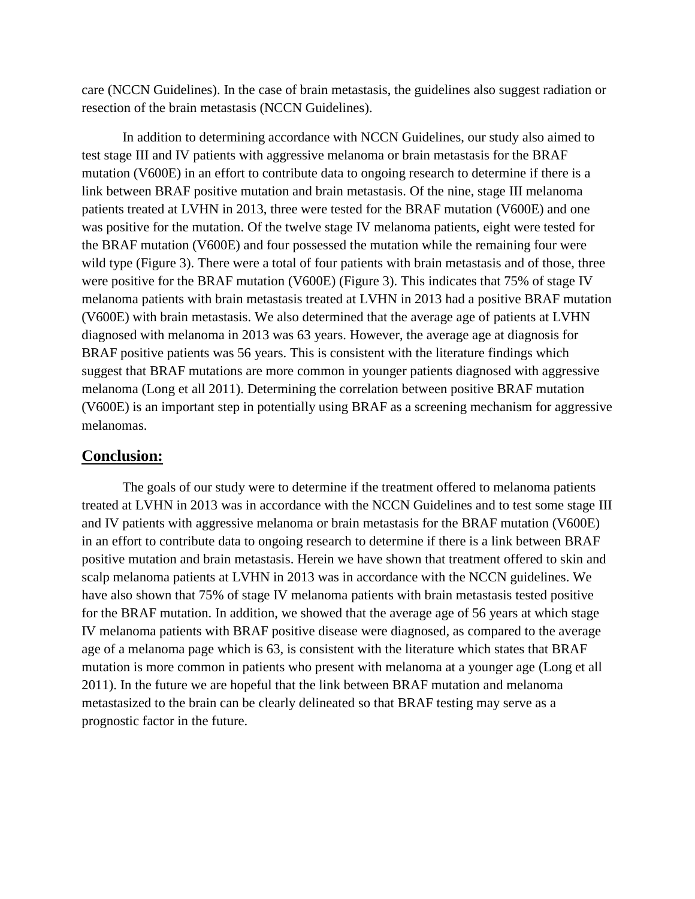care (NCCN Guidelines). In the case of brain metastasis, the guidelines also suggest radiation or resection of the brain metastasis (NCCN Guidelines).

In addition to determining accordance with NCCN Guidelines, our study also aimed to test stage III and IV patients with aggressive melanoma or brain metastasis for the BRAF mutation (V600E) in an effort to contribute data to ongoing research to determine if there is a link between BRAF positive mutation and brain metastasis. Of the nine, stage III melanoma patients treated at LVHN in 2013, three were tested for the BRAF mutation (V600E) and one was positive for the mutation. Of the twelve stage IV melanoma patients, eight were tested for the BRAF mutation (V600E) and four possessed the mutation while the remaining four were wild type (Figure 3). There were a total of four patients with brain metastasis and of those, three were positive for the BRAF mutation (V600E) (Figure 3). This indicates that 75% of stage IV melanoma patients with brain metastasis treated at LVHN in 2013 had a positive BRAF mutation (V600E) with brain metastasis. We also determined that the average age of patients at LVHN diagnosed with melanoma in 2013 was 63 years. However, the average age at diagnosis for BRAF positive patients was 56 years. This is consistent with the literature findings which suggest that BRAF mutations are more common in younger patients diagnosed with aggressive melanoma (Long et all 2011). Determining the correlation between positive BRAF mutation (V600E) is an important step in potentially using BRAF as a screening mechanism for aggressive melanomas.

#### **Conclusion:**

The goals of our study were to determine if the treatment offered to melanoma patients treated at LVHN in 2013 was in accordance with the NCCN Guidelines and to test some stage III and IV patients with aggressive melanoma or brain metastasis for the BRAF mutation (V600E) in an effort to contribute data to ongoing research to determine if there is a link between BRAF positive mutation and brain metastasis. Herein we have shown that treatment offered to skin and scalp melanoma patients at LVHN in 2013 was in accordance with the NCCN guidelines. We have also shown that 75% of stage IV melanoma patients with brain metastasis tested positive for the BRAF mutation. In addition, we showed that the average age of 56 years at which stage IV melanoma patients with BRAF positive disease were diagnosed, as compared to the average age of a melanoma page which is 63, is consistent with the literature which states that BRAF mutation is more common in patients who present with melanoma at a younger age (Long et all 2011). In the future we are hopeful that the link between BRAF mutation and melanoma metastasized to the brain can be clearly delineated so that BRAF testing may serve as a prognostic factor in the future.